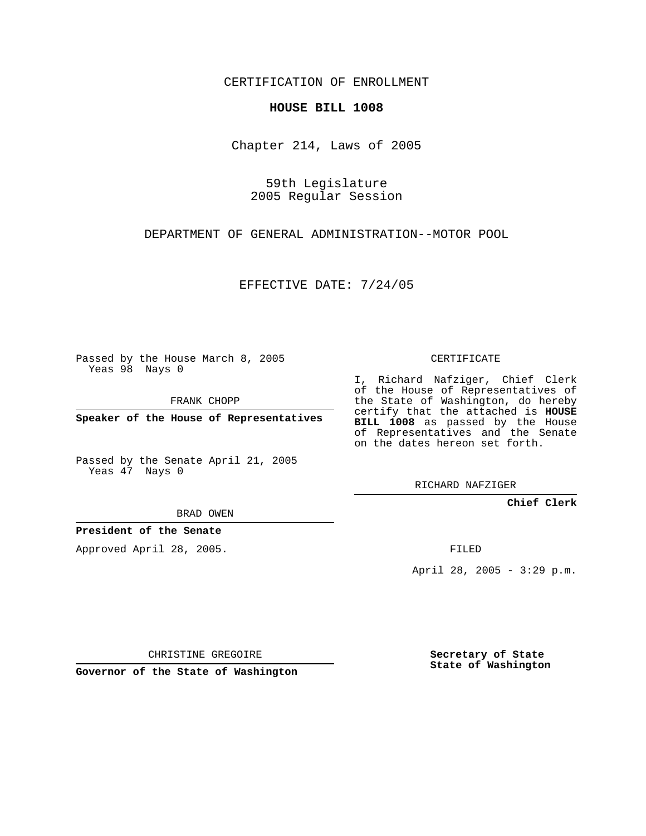CERTIFICATION OF ENROLLMENT

## **HOUSE BILL 1008**

Chapter 214, Laws of 2005

59th Legislature 2005 Regular Session

DEPARTMENT OF GENERAL ADMINISTRATION--MOTOR POOL

EFFECTIVE DATE: 7/24/05

Passed by the House March 8, 2005 Yeas 98 Nays 0

FRANK CHOPP

**Speaker of the House of Representatives**

Passed by the Senate April 21, 2005 Yeas 47 Nays 0

BRAD OWEN

**President of the Senate**

Approved April 28, 2005.

CERTIFICATE

I, Richard Nafziger, Chief Clerk of the House of Representatives of the State of Washington, do hereby certify that the attached is **HOUSE BILL 1008** as passed by the House of Representatives and the Senate on the dates hereon set forth.

RICHARD NAFZIGER

**Chief Clerk**

FILED

April 28, 2005 - 3:29 p.m.

CHRISTINE GREGOIRE

**Governor of the State of Washington**

**Secretary of State State of Washington**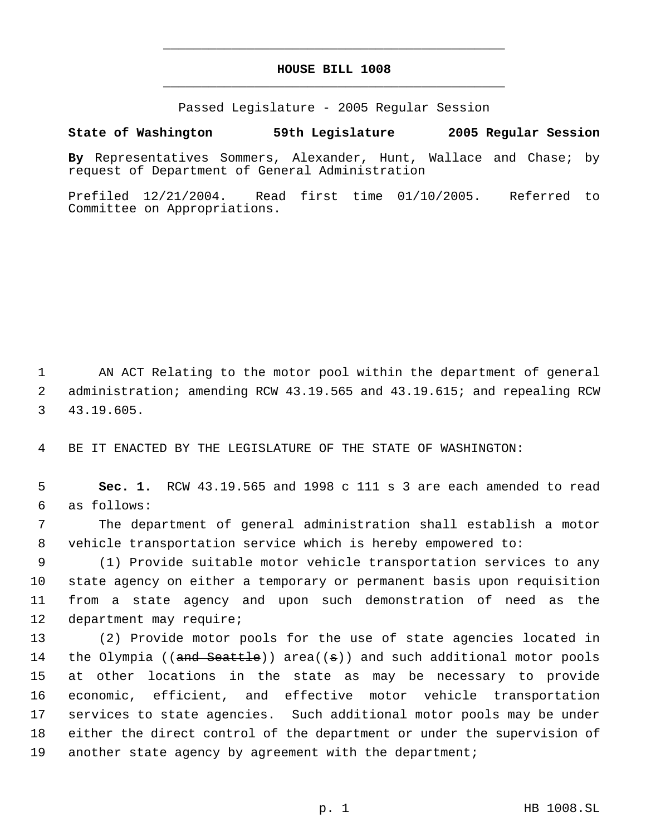## **HOUSE BILL 1008** \_\_\_\_\_\_\_\_\_\_\_\_\_\_\_\_\_\_\_\_\_\_\_\_\_\_\_\_\_\_\_\_\_\_\_\_\_\_\_\_\_\_\_\_\_

\_\_\_\_\_\_\_\_\_\_\_\_\_\_\_\_\_\_\_\_\_\_\_\_\_\_\_\_\_\_\_\_\_\_\_\_\_\_\_\_\_\_\_\_\_

Passed Legislature - 2005 Regular Session

## **State of Washington 59th Legislature 2005 Regular Session**

**By** Representatives Sommers, Alexander, Hunt, Wallace and Chase; by request of Department of General Administration

Prefiled 12/21/2004. Read first time 01/10/2005. Referred to Committee on Appropriations.

 AN ACT Relating to the motor pool within the department of general administration; amending RCW 43.19.565 and 43.19.615; and repealing RCW 43.19.605.

BE IT ENACTED BY THE LEGISLATURE OF THE STATE OF WASHINGTON:

 **Sec. 1.** RCW 43.19.565 and 1998 c 111 s 3 are each amended to read as follows:

 The department of general administration shall establish a motor vehicle transportation service which is hereby empowered to:

 (1) Provide suitable motor vehicle transportation services to any state agency on either a temporary or permanent basis upon requisition from a state agency and upon such demonstration of need as the department may require;

 (2) Provide motor pools for the use of state agencies located in 14 the Olympia ((and Seattle)) area((s)) and such additional motor pools at other locations in the state as may be necessary to provide economic, efficient, and effective motor vehicle transportation services to state agencies. Such additional motor pools may be under either the direct control of the department or under the supervision of another state agency by agreement with the department;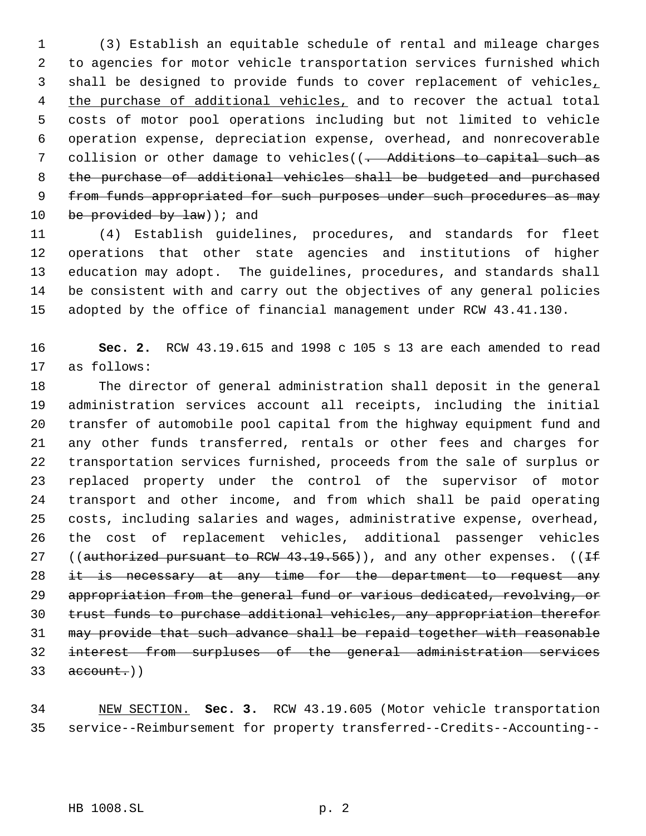(3) Establish an equitable schedule of rental and mileage charges to agencies for motor vehicle transportation services furnished which shall be designed to provide funds to cover replacement of vehicles, 4 the purchase of additional vehicles, and to recover the actual total costs of motor pool operations including but not limited to vehicle operation expense, depreciation expense, overhead, and nonrecoverable 7 collision or other damage to vehicles((. Additions to capital such as the purchase of additional vehicles shall be budgeted and purchased 9 from funds appropriated for such purposes under such procedures as may 10 be provided by  $law$ ) ; and

 (4) Establish guidelines, procedures, and standards for fleet operations that other state agencies and institutions of higher education may adopt. The guidelines, procedures, and standards shall be consistent with and carry out the objectives of any general policies adopted by the office of financial management under RCW 43.41.130.

 **Sec. 2.** RCW 43.19.615 and 1998 c 105 s 13 are each amended to read as follows:

 The director of general administration shall deposit in the general administration services account all receipts, including the initial transfer of automobile pool capital from the highway equipment fund and any other funds transferred, rentals or other fees and charges for transportation services furnished, proceeds from the sale of surplus or replaced property under the control of the supervisor of motor transport and other income, and from which shall be paid operating costs, including salaries and wages, administrative expense, overhead, the cost of replacement vehicles, additional passenger vehicles 27 ((authorized pursuant to RCW 43.19.565)), and any other expenses. ((If 28 it is necessary at any time for the department to request any appropriation from the general fund or various dedicated, revolving, or trust funds to purchase additional vehicles, any appropriation therefor may provide that such advance shall be repaid together with reasonable interest from surpluses of the general administration services  $33 \text{ account.}$ 

 NEW SECTION. **Sec. 3.** RCW 43.19.605 (Motor vehicle transportation service--Reimbursement for property transferred--Credits--Accounting--